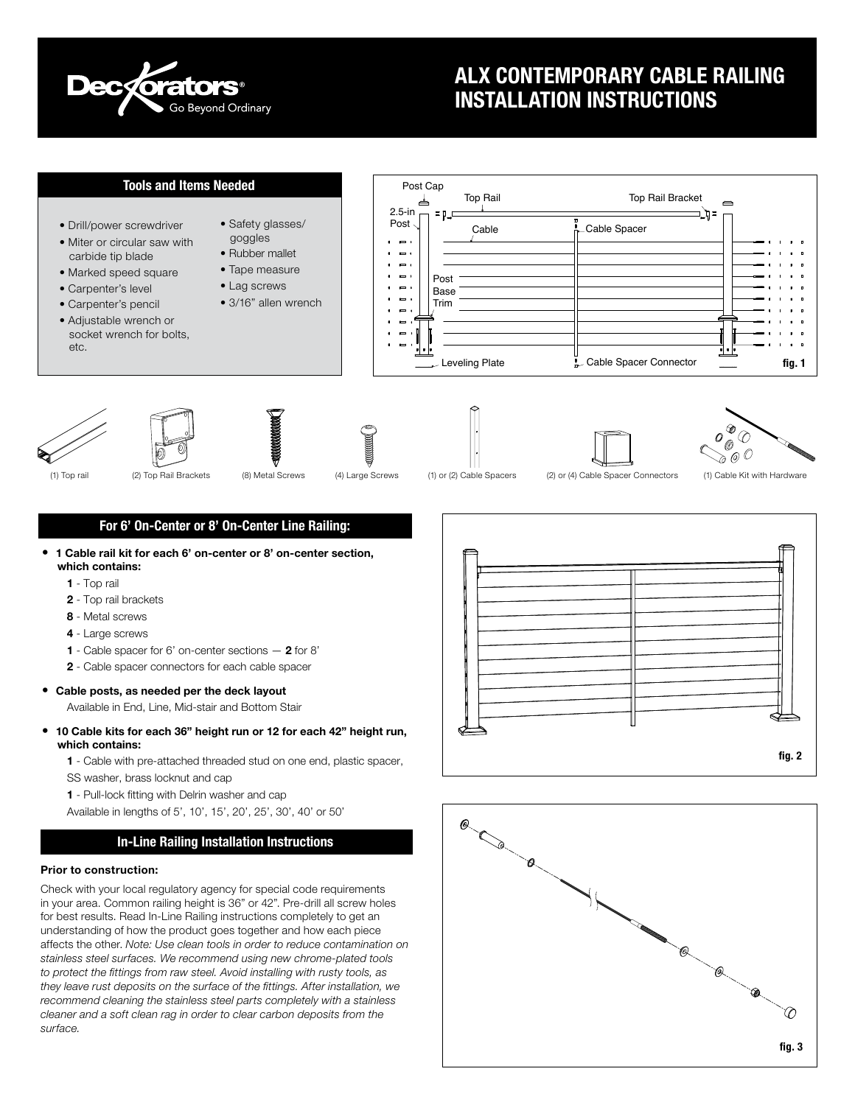

# ALX CONTEMPORARY CABLE RAILING INSTALLATION INSTRUCTIONS

# Tools and Items Needed

- Drill/power screwdriver
- Miter or circular saw with carbide tip blade
- Marked speed square
- Carpenter's level
- Carpenter's pencil
- Adjustable wrench or socket wrench for bolts, etc.
- Safety glasses/ goggles • Rubber mallet • Tape measure • Lag screws
- 
- 3/16" allen wrench

Post Cap Top Rail Top Rail Bracket • 2.5-in  $\equiv p$ • • Post Cable Cable Spacer  $\blacksquare$  $\overline{\phantom{a}}$  $\Rightarrow$  $\overline{\phantom{a}}$ Post  $\bullet$ Base  $\blacksquare$ Trim  $\Rightarrow$  $\Rightarrow$ Leveling Plate Cable Spacer Connector •fig. 1















(1) Top rail (2) Top Rail Brackets (8) Metal Screws (4) Large Screws (1) or (2) Cable Spacers (2) or (4) Cable Spacer Connectors (1) Cable Kit with Hardware

## For 6' On-Center or 8' On-Center Line Railing:

- 1 Cable rail kit for each 6' on-center or 8' on-center section, which contains:
	- 1 Top rail
	- 2 Top rail brackets
	- 8 Metal screws
	- 4 Large screws
	- 1 Cable spacer for 6' on-center sections 2 for 8'
	- 2 Cable spacer connectors for each cable spacer
- Cable posts, as needed per the deck layout
	- Available in End, Line, Mid-stair and Bottom Stair
- 10 Cable kits for each 36" height run or 12 for each 42" height run, which contains:

1 - Cable with pre-attached threaded stud on one end, plastic spacer, SS washer, brass locknut and cap

1 - Pull-lock fitting with Delrin washer and cap

Available in lengths of 5', 10', 15', 20', 25', 30', 40' or 50'

## In-Line Railing Installation Instructions

## Prior to construction:

Check with your local regulatory agency for special code requirements in your area. Common railing height is 36" or 42". Pre-drill all screw holes for best results. Read In-Line Railing instructions completely to get an understanding of how the product goes together and how each piece affects the other. *Note: Use clean tools in order to reduce contamination on stainless steel surfaces. We recommend using new chrome-plated tools to protect the fittings from raw steel. Avoid installing with rusty tools, as they leave rust deposits on the surface of the fittings. After installation, we recommend cleaning the stainless steel parts completely with a stainless cleaner and a soft clean rag in order to clear carbon deposits from the surface.*



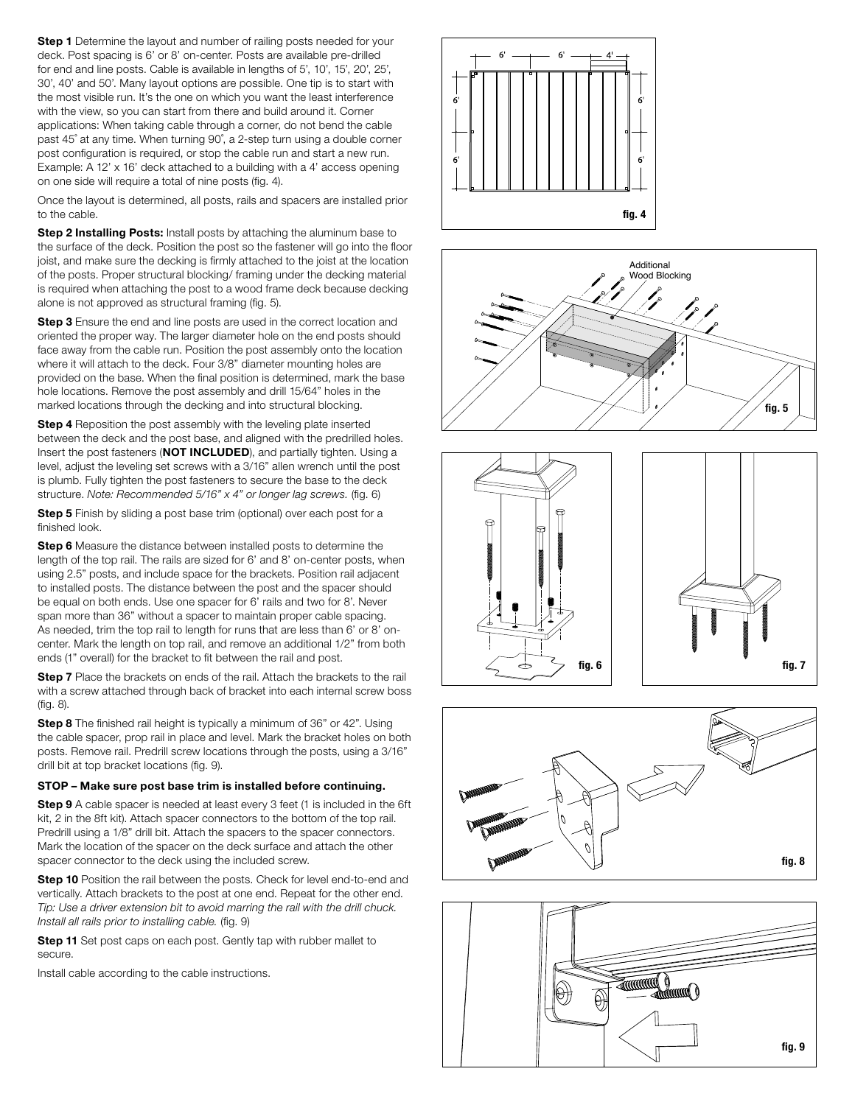Step 1 Determine the layout and number of railing posts needed for your deck. Post spacing is 6' or 8' on-center. Posts are available pre-drilled for end and line posts. Cable is available in lengths of 5', 10', 15', 20', 25', 30', 40' and 50'. Many layout options are possible. One tip is to start with the most visible run. It's the one on which you want the least interference with the view, so you can start from there and build around it. Corner applications: When taking cable through a corner, do not bend the cable past 45˚ at any time. When turning 90˚, a 2-step turn using a double corner post configuration is required, or stop the cable run and start a new run. Example: A 12' x 16' deck attached to a building with a 4' access opening on one side will require a total of nine posts (fig. 4).

Once the layout is determined, all posts, rails and spacers are installed prior to the cable.

Step 2 Installing Posts: Install posts by attaching the aluminum base to the surface of the deck. Position the post so the fastener will go into the floor joist, and make sure the decking is firmly attached to the joist at the location of the posts. Proper structural blocking/ framing under the decking material is required when attaching the post to a wood frame deck because decking alone is not approved as structural framing (fig. 5).

Step 3 Ensure the end and line posts are used in the correct location and oriented the proper way. The larger diameter hole on the end posts should face away from the cable run. Position the post assembly onto the location where it will attach to the deck. Four 3/8" diameter mounting holes are provided on the base. When the final position is determined, mark the base hole locations. Remove the post assembly and drill 15/64" holes in the marked locations through the decking and into structural blocking.

**Step 4** Reposition the post assembly with the leveling plate inserted between the deck and the post base, and aligned with the predrilled holes. Insert the post fasteners (NOT INCLUDED), and partially tighten. Using a level, adjust the leveling set screws with a 3/16" allen wrench until the post is plumb. Fully tighten the post fasteners to secure the base to the deck structure. *Note: Recommended 5/16" x 4" or longer lag screws.* (fig. 6)

Step 5 Finish by sliding a post base trim (optional) over each post for a finished look.

Step 6 Measure the distance between installed posts to determine the length of the top rail. The rails are sized for 6' and 8' on-center posts, when using 2.5" posts, and include space for the brackets. Position rail adjacent to installed posts. The distance between the post and the spacer should be equal on both ends. Use one spacer for 6' rails and two for 8'. Never span more than 36" without a spacer to maintain proper cable spacing. As needed, trim the top rail to length for runs that are less than 6' or 8' oncenter. Mark the length on top rail, and remove an additional 1/2" from both ends (1" overall) for the bracket to fit between the rail and post.

Step 7 Place the brackets on ends of the rail. Attach the brackets to the rail with a screw attached through back of bracket into each internal screw boss (fig. 8).

**Step 8** The finished rail height is typically a minimum of 36" or 42". Using the cable spacer, prop rail in place and level. Mark the bracket holes on both posts. Remove rail. Predrill screw locations through the posts, using a 3/16" drill bit at top bracket locations (fig. 9).

#### STOP – Make sure post base trim is installed before continuing.

Step 9 A cable spacer is needed at least every 3 feet (1 is included in the 6ft kit, 2 in the 8ft kit). Attach spacer connectors to the bottom of the top rail. Predrill using a 1/8" drill bit. Attach the spacers to the spacer connectors. Mark the location of the spacer on the deck surface and attach the other spacer connector to the deck using the included screw.

**Step 10** Position the rail between the posts. Check for level end-to-end and vertically. Attach brackets to the post at one end. Repeat for the other end. *Tip: Use a driver extension bit to avoid marring the rail with the drill chuck. Install all rails prior to installing cable.* (fig. 9)

Step 11 Set post caps on each post. Gently tap with rubber mallet to secure.

Install cable according to the cable instructions.